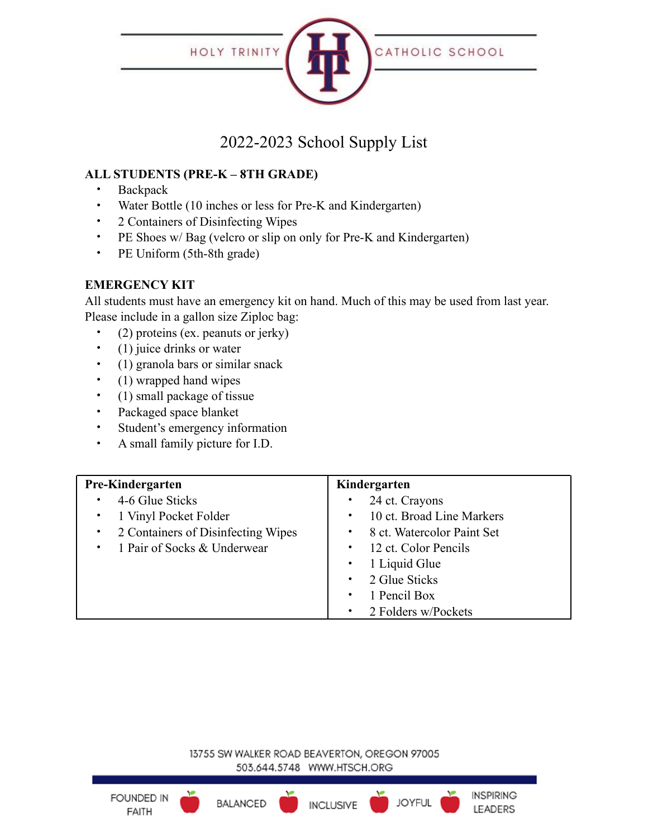

# 2022-2023 School Supply List

## **ALL STUDENTS (PRE-K – 8TH GRADE)**

- Backpack
- Water Bottle (10 inches or less for Pre-K and Kindergarten)
- 2 Containers of Disinfecting Wipes
- PE Shoes w/ Bag (velcro or slip on only for Pre-K and Kindergarten)
- PE Uniform (5th-8th grade)

#### **EMERGENCY KIT**

All students must have an emergency kit on hand. Much of this may be used from last year. Please include in a gallon size Ziploc bag:

- (2) proteins (ex. peanuts or jerky)
- (1) juice drinks or water
- (1) granola bars or similar snack
- (1) wrapped hand wipes
- (1) small package of tissue
- Packaged space blanket
- Student's emergency information
- A small family picture for I.D.

| <b>Pre-Kindergarten</b>                         | Kindergarten                           |
|-------------------------------------------------|----------------------------------------|
| 4-6 Glue Sticks<br>٠                            | 24 ct. Crayons                         |
| • 1 Vinyl Pocket Folder                         | 10 ct. Broad Line Markers<br>$\bullet$ |
| 2 Containers of Disinfecting Wipes<br>$\bullet$ | • 8 ct. Watercolor Paint Set           |
| • 1 Pair of Socks & Underwear                   | • 12 ct. Color Pencils                 |
|                                                 | 1 Liquid Glue                          |
|                                                 | 2 Glue Sticks<br>$\bullet$ .           |
|                                                 | 1 Pencil Box<br>$\bullet$              |
|                                                 | • 2 Folders w/Pockets                  |

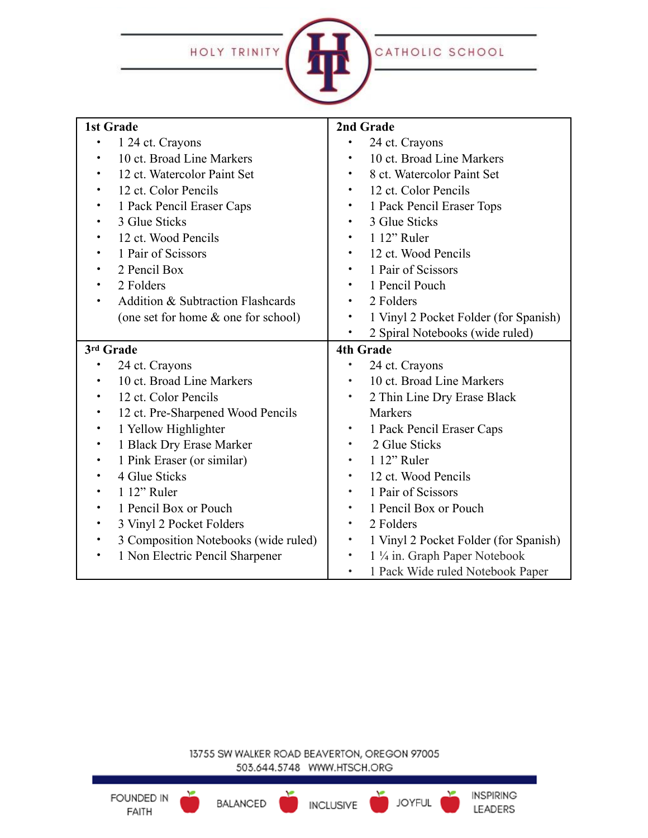HOLY TRINITY



| <b>1st Grade</b>                                  | 2nd Grade                                          |
|---------------------------------------------------|----------------------------------------------------|
| 1 24 ct. Crayons<br>$\bullet$                     | 24 ct. Crayons                                     |
| 10 ct. Broad Line Markers<br>$\bullet$            | 10 ct. Broad Line Markers                          |
| 12 ct. Watercolor Paint Set<br>$\bullet$          | 8 ct. Watercolor Paint Set                         |
| 12 ct. Color Pencils<br>٠                         | 12 ct. Color Pencils                               |
| 1 Pack Pencil Eraser Caps<br>$\bullet$            | 1 Pack Pencil Eraser Tops<br>$\bullet$             |
| 3 Glue Sticks<br>$\bullet$                        | 3 Glue Sticks                                      |
| 12 ct. Wood Pencils<br>$\bullet$                  | 1 12" Ruler                                        |
| 1 Pair of Scissors<br>$\bullet$                   | 12 ct. Wood Pencils<br>$\bullet$                   |
| 2 Pencil Box<br>$\bullet$                         | 1 Pair of Scissors<br>$\bullet$                    |
| 2 Folders<br>$\bullet$                            | 1 Pencil Pouch<br>٠                                |
| <b>Addition &amp; Subtraction Flashcards</b>      | 2 Folders<br>$\bullet$                             |
| (one set for home & one for school)               | 1 Vinyl 2 Pocket Folder (for Spanish)<br>$\bullet$ |
|                                                   | 2 Spiral Notebooks (wide ruled)                    |
| 3rd Grade                                         | <b>4th Grade</b>                                   |
| 24 ct. Crayons                                    | 24 ct. Crayons                                     |
| 10 ct. Broad Line Markers<br>٠                    | 10 ct. Broad Line Markers                          |
| 12 ct. Color Pencils<br>$\bullet$                 | 2 Thin Line Dry Erase Black<br>$\bullet$           |
| 12 ct. Pre-Sharpened Wood Pencils<br>$\bullet$    | <b>Markers</b>                                     |
| 1 Yellow Highlighter<br>$\bullet$                 | 1 Pack Pencil Eraser Caps<br>$\bullet$             |
| 1 Black Dry Erase Marker<br>$\bullet$             | 2 Glue Sticks                                      |
| 1 Pink Eraser (or similar)<br>$\bullet$           | 1 12" Ruler<br>$\bullet$                           |
| 4 Glue Sticks<br>$\bullet$                        | 12 ct. Wood Pencils<br>$\bullet$                   |
| 1 12" Ruler<br>$\bullet$                          | 1 Pair of Scissors                                 |
| 1 Pencil Box or Pouch<br>$\bullet$                | 1 Pencil Box or Pouch<br>$\bullet$                 |
| 3 Vinyl 2 Pocket Folders<br>$\bullet$             | 2 Folders<br>$\bullet$                             |
| 3 Composition Notebooks (wide ruled)<br>$\bullet$ | 1 Vinyl 2 Pocket Folder (for Spanish)<br>$\bullet$ |
| 1 Non Electric Pencil Sharpener<br>$\bullet$      | 1 ¼ in. Graph Paper Notebook<br>$\bullet$          |
|                                                   | 1 Pack Wide ruled Notebook Paper                   |